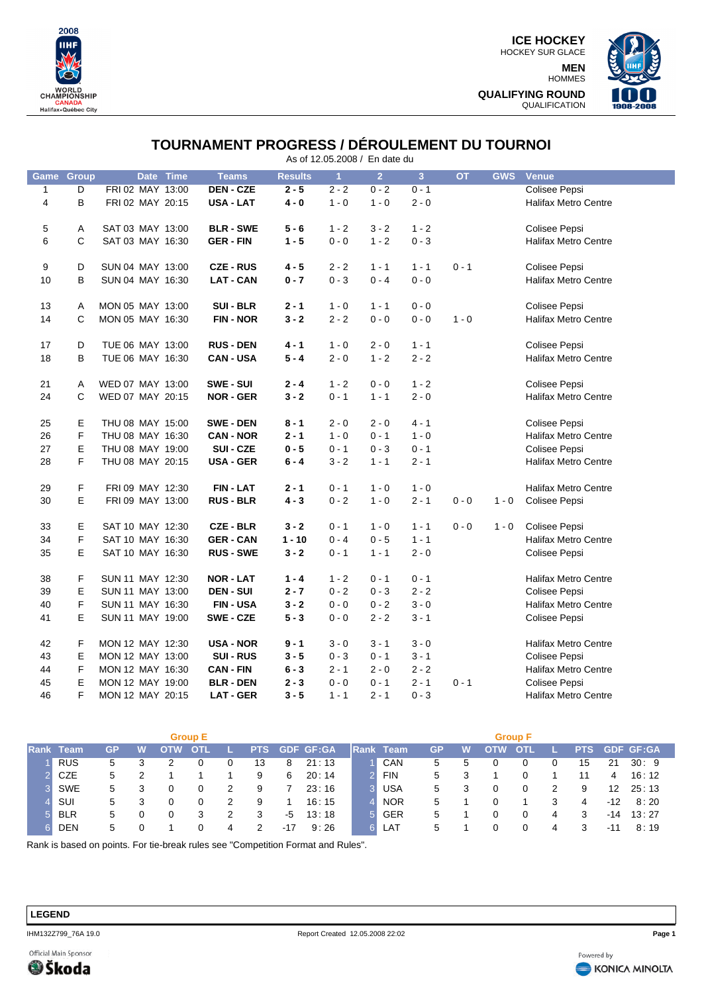

**ICE HOCKEY** HOCKEY SUR GLACE **MEN** HOMMES **QUALIFYING ROUND** QUALIFICATION



## **TOURNAMENT PROGRESS / DÉROULEMENT DU TOURNOI**

As of 12.05.2008 / En date du

| Game         | Group          |                  | Date Time | <b>Teams</b>     | <b>Results</b> | $\overline{1}$ | 2 <sup>7</sup> | 3 <sup>1</sup> | <b>OT</b> | <b>GWS</b> | <b>Venue</b>                |
|--------------|----------------|------------------|-----------|------------------|----------------|----------------|----------------|----------------|-----------|------------|-----------------------------|
| $\mathbf{1}$ | $\overline{D}$ | FRI 02 MAY 13:00 |           | <b>DEN-CZE</b>   | $2 - 5$        | $2 - 2$        | $0 - 2$        | $0 - 1$        |           |            | <b>Colisee Pepsi</b>        |
| 4            | B              | FRI 02 MAY 20:15 |           | <b>USA - LAT</b> | $4 - 0$        | $1 - 0$        | $1 - 0$        | $2 - 0$        |           |            | <b>Halifax Metro Centre</b> |
|              |                |                  |           |                  |                |                |                |                |           |            |                             |
| 5            | Α              | SAT 03 MAY 13:00 |           | <b>BLR - SWE</b> | $5 - 6$        | $1 - 2$        | $3 - 2$        | $1 - 2$        |           |            | Colisee Pepsi               |
| 6            | C              | SAT 03 MAY 16:30 |           | <b>GER - FIN</b> | $1 - 5$        | $0 - 0$        | $1 - 2$        | $0 - 3$        |           |            | <b>Halifax Metro Centre</b> |
|              |                |                  |           |                  |                |                |                |                |           |            |                             |
| 9            | D              | SUN 04 MAY 13:00 |           | <b>CZE-RUS</b>   | $4 - 5$        | $2 - 2$        | $1 - 1$        | $1 - 1$        | $0 - 1$   |            | Colisee Pepsi               |
| 10           | B              | SUN 04 MAY 16:30 |           | <b>LAT-CAN</b>   | $0 - 7$        | $0 - 3$        | $0 - 4$        | $0 - 0$        |           |            | <b>Halifax Metro Centre</b> |
|              |                |                  |           |                  |                |                |                |                |           |            |                             |
| 13           | Α              | MON 05 MAY 13:00 |           | <b>SUI - BLR</b> | $2 - 1$        | $1 - 0$        | $1 - 1$        | $0 - 0$        |           |            | Colisee Pepsi               |
| 14           | C              | MON 05 MAY 16:30 |           | <b>FIN-NOR</b>   | $3 - 2$        | $2 - 2$        | $0 - 0$        | $0 - 0$        | $1 - 0$   |            | Halifax Metro Centre        |
|              |                | TUE 06 MAY 13:00 |           | <b>RUS - DEN</b> |                |                |                |                |           |            |                             |
| 17           | D              |                  |           |                  | $4 - 1$        | $1 - 0$        | $2 - 0$        | $1 - 1$        |           |            | Colisee Pepsi               |
| 18           | B              | TUE 06 MAY 16:30 |           | <b>CAN-USA</b>   | $5 - 4$        | $2 - 0$        | $1 - 2$        | $2 - 2$        |           |            | <b>Halifax Metro Centre</b> |
| 21           | Α              | WED 07 MAY 13:00 |           | SWE - SUI        | $2 - 4$        | $1 - 2$        | $0 - 0$        | $1 - 2$        |           |            | Colisee Pepsi               |
| 24           | C              | WED 07 MAY 20:15 |           | <b>NOR - GER</b> | $3 - 2$        | $0 - 1$        | $1 - 1$        | $2 - 0$        |           |            | <b>Halifax Metro Centre</b> |
|              |                |                  |           |                  |                |                |                |                |           |            |                             |
| 25           | E              | THU 08 MAY 15:00 |           | <b>SWE - DEN</b> | $8 - 1$        | $2 - 0$        | $2 - 0$        | $4 - 1$        |           |            | Colisee Pepsi               |
| 26           | F              | THU 08 MAY 16:30 |           | <b>CAN - NOR</b> | $2 - 1$        | $1 - 0$        | $0 - 1$        | $1 - 0$        |           |            | <b>Halifax Metro Centre</b> |
| 27           | Ε              | THU 08 MAY 19:00 |           | SUI - CZE        | $0 - 5$        | $0 - 1$        | $0 - 3$        | $0 - 1$        |           |            | Colisee Pepsi               |
| 28           | F              | THU 08 MAY 20:15 |           | <b>USA - GER</b> | $6 - 4$        | $3 - 2$        | $1 - 1$        | $2 - 1$        |           |            | <b>Halifax Metro Centre</b> |
|              |                |                  |           |                  |                |                |                |                |           |            |                             |
| 29           | F              | FRI 09 MAY 12:30 |           | <b>FIN-LAT</b>   | $2 - 1$        | $0 - 1$        | $1 - 0$        | $1 - 0$        |           |            | <b>Halifax Metro Centre</b> |
| 30           | E              | FRI 09 MAY 13:00 |           | <b>RUS - BLR</b> | $4 - 3$        | $0 - 2$        | $1 - 0$        | $2 - 1$        | $0 - 0$   | $1 - 0$    | Colisee Pepsi               |
|              |                |                  |           |                  |                |                |                |                |           |            |                             |
| 33           | Ε              | SAT 10 MAY 12:30 |           | <b>CZE - BLR</b> | $3 - 2$        | $0 - 1$        | $1 - 0$        | $1 - 1$        | $0 - 0$   | $1 - 0$    | Colisee Pepsi               |
| 34           | F              | SAT 10 MAY 16:30 |           | <b>GER-CAN</b>   | $1 - 10$       | $0 - 4$        | $0 - 5$        | $1 - 1$        |           |            | <b>Halifax Metro Centre</b> |
| 35           | E              | SAT 10 MAY 16:30 |           | <b>RUS - SWE</b> | $3 - 2$        | $0 - 1$        | $1 - 1$        | $2 - 0$        |           |            | Colisee Pepsi               |
|              |                |                  |           |                  |                |                |                |                |           |            |                             |
| 38           | F              | SUN 11 MAY 12:30 |           | <b>NOR - LAT</b> | $1 - 4$        | $1 - 2$        | $0 - 1$        | $0 - 1$        |           |            | <b>Halifax Metro Centre</b> |
| 39           | E              | SUN 11 MAY 13:00 |           | <b>DEN-SUI</b>   | $2 - 7$        | $0 - 2$        | $0 - 3$        | $2 - 2$        |           |            | Colisee Pepsi               |
| 40           | F              | SUN 11 MAY 16:30 |           | <b>FIN-USA</b>   | $3 - 2$        | $0 - 0$        | $0 - 2$        | $3 - 0$        |           |            | <b>Halifax Metro Centre</b> |
| 41           | E              | SUN 11 MAY 19:00 |           | SWE-CZE          | $5 - 3$        | $0 - 0$        | $2 - 2$        | $3 - 1$        |           |            | Colisee Pepsi               |
|              |                |                  |           |                  |                |                |                |                |           |            |                             |
| 42           | F              | MON 12 MAY 12:30 |           | <b>USA - NOR</b> | $9 - 1$        | $3 - 0$        | $3 - 1$        | $3 - 0$        |           |            | <b>Halifax Metro Centre</b> |
| 43           | Ε              | MON 12 MAY 13:00 |           | <b>SUI - RUS</b> | $3 - 5$        | $0 - 3$        | $0 - 1$        | $3 - 1$        |           |            | <b>Colisee Pepsi</b>        |
| 44           | F              | MON 12 MAY 16:30 |           | <b>CAN - FIN</b> | $6 - 3$        | $2 - 1$        | $2 - 0$        | $2 - 2$        |           |            | <b>Halifax Metro Centre</b> |
| 45           | E              | MON 12 MAY 19:00 |           | <b>BLR - DEN</b> | $2 - 3$        | $0 - 0$        | $0 - 1$        | $2 - 1$        | $0 - 1$   |            | Colisee Pepsi               |
| 46           | F              | MON 12 MAY 20:15 |           | <b>LAT - GER</b> | $3 - 5$        | $1 - 1$        | $2 - 1$        | $0 - 3$        |           |            | <b>Halifax Metro Centre</b> |

| <b>Group E</b> |                  |    |   |  |            |  |            |       | <b>Group F</b> |  |                   |           |   |            |             |  |            |     |             |
|----------------|------------------|----|---|--|------------|--|------------|-------|----------------|--|-------------------|-----------|---|------------|-------------|--|------------|-----|-------------|
|                | <b>Rank Team</b> | GP | W |  | <b>OTI</b> |  | <b>PTS</b> |       | GDF GF:GA      |  | <b>IRank Team</b> | <b>GP</b> | W | <b>OTW</b> | <b>COTI</b> |  | <b>PTS</b> |     | GDF GF:GA   |
|                | <b>RUS</b>       | 5  |   |  |            |  | 13         | 8     | 21:13          |  | CAN               | 5         | 5 |            |             |  | 15         | 21  | 30:9        |
|                | <b>CZE</b>       | 5  |   |  |            |  | 9          | 6     | 20:14          |  | FIN               | 5         |   |            |             |  | 11         | 4   | 16 : 12     |
|                | SWE              | 5  |   |  |            |  | 9          |       | 23:16          |  | <b>USA</b>        | 5         | 3 |            |             |  | 9          | 12  | 25:13       |
|                | <b>SUI</b>       | 5  |   |  |            |  | 9          |       | 16:15          |  | <b>NOR</b>        | 5         |   |            |             |  | 4          | -12 | 8 : 20      |
|                | <b>BLR</b>       | 5. |   |  |            |  | 3          | -5    | 13:18          |  | <b>GER</b>        | 5         |   |            |             |  | 3          |     | $-14$ 13:27 |
|                | <b>DEN</b>       | 5. |   |  |            |  |            | $-17$ | 9:26           |  | LAT               |           |   |            |             |  |            | -11 | 8:19        |

Rank is based on points. For tie-break rules see "Competition Format and Rules".

## **LEGEND**